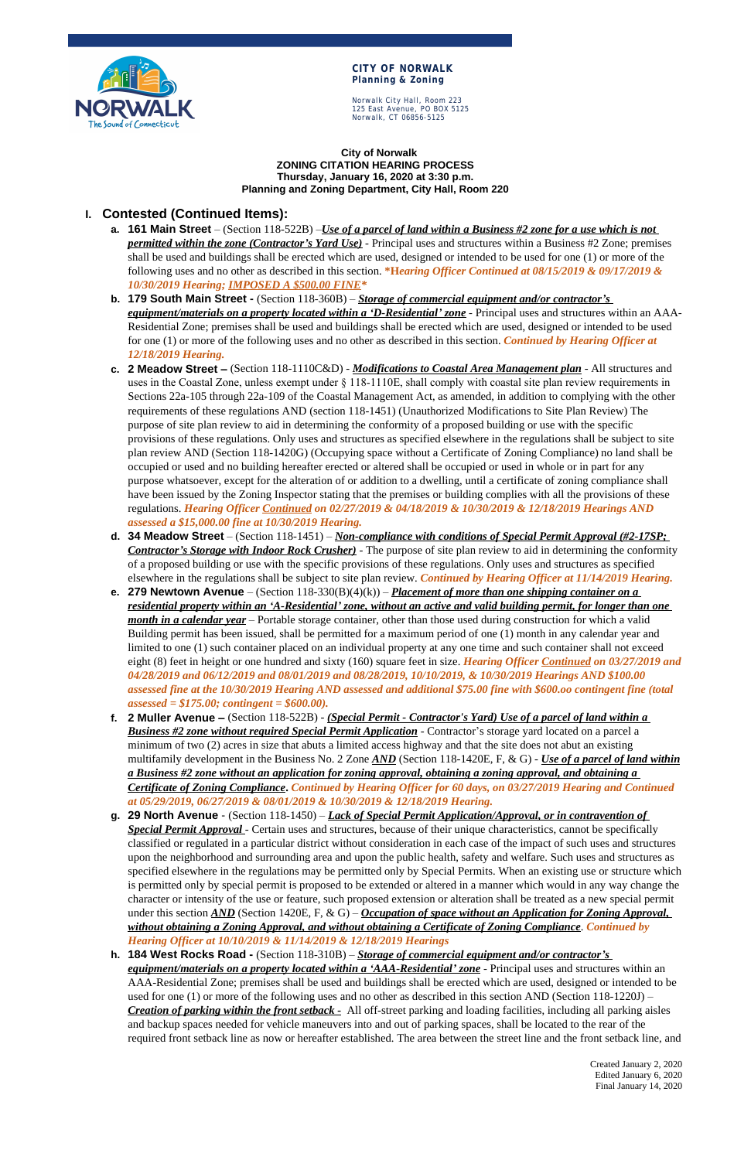

#### **CITY OF NORWALK Planning & Zoning**

Norwalk City Hall, Room 223 125 East Avenue, PO BOX 5125 Norwalk, CT 06856-5125

> Created January 2, 2020 Edited January 6, 2020 Final January 14, 2020

**City of Norwalk ZONING CITATION HEARING PROCESS Thursday, January 16, 2020 at 3:30 p.m. Planning and Zoning Department, City Hall, Room 220**

# **I. Contested (Continued Items):**

- **a. 161 Main Street**  (Section 118-522B) –*Use of a parcel of land within a Business #2 zone for a use which is not permitted within the zone (Contractor's Yard Use)* - Principal uses and structures within a Business #2 Zone; premises shall be used and buildings shall be erected which are used, designed or intended to be used for one (1) or more of the following uses and no other as described in this section. **\*H***earing Officer Continued at 08/15/2019 & 09/17/2019 & 10/30/2019 Hearing; IMPOSED A \$500.00 FINE\**
- **b. 179 South Main Street** (Section 118-360B) *Storage of commercial equipment and/or contractor's equipment/materials on a property located within a 'D-Residential' zone* - Principal uses and structures within an AAA-Residential Zone; premises shall be used and buildings shall be erected which are used, designed or intended to be used for one (1) or more of the following uses and no other as described in this section. *Continued by Hearing Officer at 12/18/2019 Hearing.*
- **c. 2 Meadow Street –** (Section 118-1110C&D) *Modifications to Coastal Area Management plan* All structures and uses in the Coastal Zone, unless exempt under § 118-1110E, shall comply with coastal site plan review requirements in Sections 22a-105 through 22a-109 of the Coastal Management Act, as amended, in addition to complying with the other requirements of these regulations AND (section 118-1451) (Unauthorized Modifications to Site Plan Review) The purpose of site plan review to aid in determining the conformity of a proposed building or use with the specific provisions of these regulations. Only uses and structures as specified elsewhere in the regulations shall be subject to site plan review AND (Section 118-1420G) (Occupying space without a Certificate of Zoning Compliance) no land shall be occupied or used and no building hereafter erected or altered shall be occupied or used in whole or in part for any purpose whatsoever, except for the alteration of or addition to a dwelling, until a certificate of zoning compliance shall have been issued by the Zoning Inspector stating that the premises or building complies with all the provisions of these regulations. *Hearing Officer Continued on 02/27/2019 & 04/18/2019 & 10/30/2019 & 12/18/2019 Hearings AND assessed a \$15,000.00 fine at 10/30/2019 Hearing.*
- **d. 34 Meadow Street** (Section 118-1451) *Non-compliance with conditions of Special Permit Approval (#2-17SP; Contractor's Storage with Indoor Rock Crusher)* - The purpose of site plan review to aid in determining the conformity of a proposed building or use with the specific provisions of these regulations. Only uses and structures as specified elsewhere in the regulations shall be subject to site plan review. *Continued by Hearing Officer at 11/14/2019 Hearing.*
- **e. 279 Newtown Avenue**  (Section 118-330(B)(4)(k)) *Placement of more than one shipping container on a residential property within an 'A-Residential' zone, without an active and valid building permit, for longer than one month in a calendar year* – Portable storage container, other than those used during construction for which a valid Building permit has been issued, shall be permitted for a maximum period of one (1) month in any calendar year and limited to one (1) such container placed on an individual property at any one time and such container shall not exceed eight (8) feet in height or one hundred and sixty (160) square feet in size. *Hearing Officer Continued on 03/27/2019 and 04/28/2019 and 06/12/2019 and 08/01/2019 and 08/28/2019, 10/10/2019, & 10/30/2019 Hearings AND \$100.00 assessed fine at the 10/30/2019 Hearing AND assessed and additional \$75.00 fine with \$600.oo contingent fine (total assessed = \$175.00; contingent = \$600.00).*
- **f. 2 Muller Avenue –** (Section 118-522B) *(Special Permit Contractor's Yard) Use of a parcel of land within a Business #2 zone without required Special Permit Application* - Contractor's storage yard located on a parcel a minimum of two (2) acres in size that abuts a limited access highway and that the site does not abut an existing multifamily development in the Business No. 2 Zone *AND* (Section 118-1420E, F, & G) - *Use of a parcel of land within a Business #2 zone without an application for zoning approval, obtaining a zoning approval, and obtaining a Certificate of Zoning Compliance***.** *Continued by Hearing Officer for 60 days, on 03/27/2019 Hearing and Continued at 05/29/2019, 06/27/2019 & 08/01/2019 & 10/30/2019 & 12/18/2019 Hearing.*
- **g. 29 North Avenue**  (Section 118-1450) *Lack of Special Permit Application/Approval, or in contravention of Special Permit Approval* - Certain uses and structures, because of their unique characteristics, cannot be specifically classified or regulated in a particular district without consideration in each case of the impact of such uses and structures

upon the neighborhood and surrounding area and upon the public health, safety and welfare. Such uses and structures as specified elsewhere in the regulations may be permitted only by Special Permits. When an existing use or structure which is permitted only by special permit is proposed to be extended or altered in a manner which would in any way change the character or intensity of the use or feature, such proposed extension or alteration shall be treated as a new special permit under this section <u>AND</u> (Section 1420E, F, & G) – *Occupation of space without an Application for Zoning Approval, without obtaining a Zoning Approval, and without obtaining a Certificate of Zoning Compliance*. *Continued by Hearing Officer at 10/10/2019 & 11/14/2019 & 12/18/2019 Hearings*

**h. 184 West Rocks Road -** (Section 118-310B) – *Storage of commercial equipment and/or contractor's equipment/materials on a property located within a 'AAA-Residential' zone* - Principal uses and structures within an AAA-Residential Zone; premises shall be used and buildings shall be erected which are used, designed or intended to be used for one (1) or more of the following uses and no other as described in this section AND (Section 118-1220J) – *Creation of parking within the front setback -* All off-street parking and loading facilities, including all parking aisles and backup spaces needed for vehicle maneuvers into and out of parking spaces, shall be located to the rear of the required front setback line as now or hereafter established. The area between the street line and the front setback line, and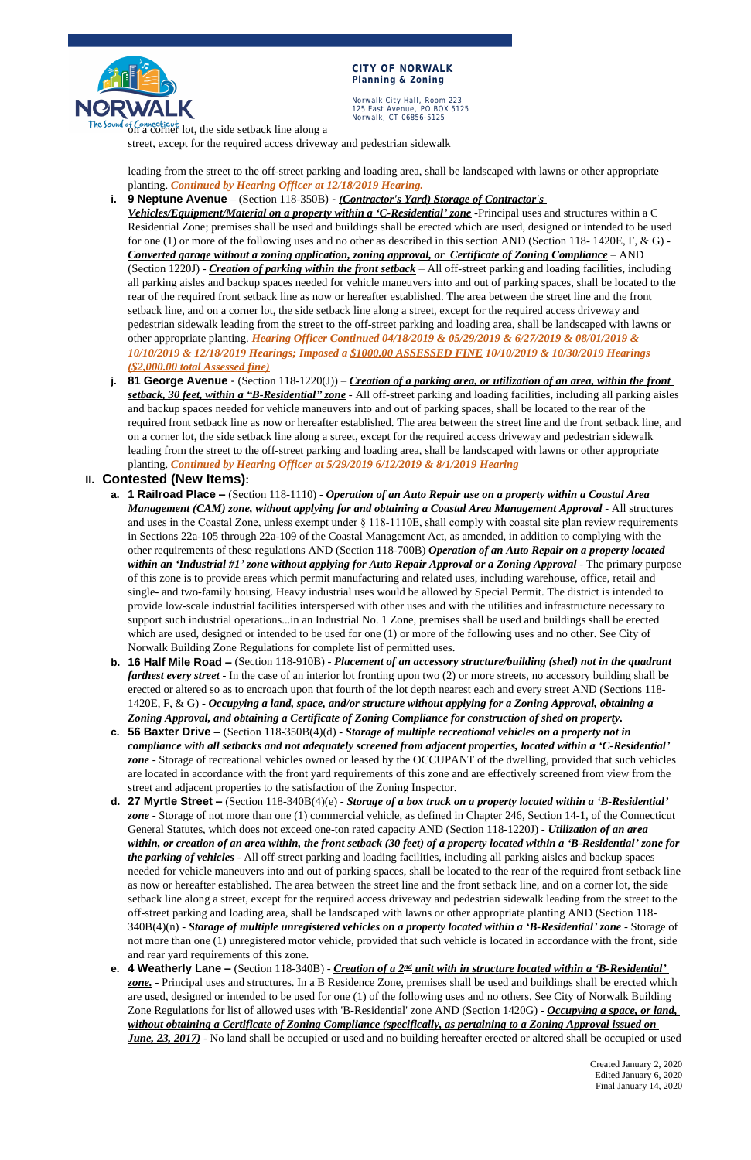

#### **CITY OF NORWALK Planning & Zoning**

Norwalk City Hall, Room 223 125 East Avenue, PO BOX 5125 Norwalk, CT 06856-5125

on a corner lot, the side setback line along a

Created January 2, 2020 Edited January 6, 2020 Final January 14, 2020

street, except for the required access driveway and pedestrian sidewalk

leading from the street to the off-street parking and loading area, shall be landscaped with lawns or other appropriate planting. *Continued by Hearing Officer at 12/18/2019 Hearing.*

**i. 9 Neptune Avenue –** (Section 118-350B) - *(Contractor's Yard) Storage of Contractor's* 

*Vehicles/Equipment/Material on a property within a 'C-Residential' zone* -Principal uses and structures within a C Residential Zone; premises shall be used and buildings shall be erected which are used, designed or intended to be used for one (1) or more of the following uses and no other as described in this section AND (Section 118- 1420E, F, & G) - *Converted garage without a zoning application, zoning approval, or Certificate of Zoning Compliance* – AND (Section 1220J) - *Creation of parking within the front setback* – All off-street parking and loading facilities, including all parking aisles and backup spaces needed for vehicle maneuvers into and out of parking spaces, shall be located to the rear of the required front setback line as now or hereafter established. The area between the street line and the front setback line, and on a corner lot, the side setback line along a street, except for the required access driveway and pedestrian sidewalk leading from the street to the off-street parking and loading area, shall be landscaped with lawns or other appropriate planting. *Hearing Officer Continued 04/18/2019 & 05/29/2019 & 6/27/2019 & 08/01/2019 & 10/10/2019 & 12/18/2019 Hearings; Imposed a \$1000.00 ASSESSED FINE 10/10/2019 & 10/30/2019 Hearings (\$2,000.00 total Assessed fine)*

- **a. 1 Railroad Place –** (Section 118-1110) *Operation of an Auto Repair use on a property within a Coastal Area Management (CAM) zone, without applying for and obtaining a Coastal Area Management Approval* - All structures and uses in the Coastal Zone, unless exempt under § 118-1110E, shall comply with coastal site plan review requirements in Sections 22a-105 through 22a-109 of the Coastal Management Act, as amended, in addition to complying with the other requirements of these regulations AND (Section 118-700B) *Operation of an Auto Repair on a property located within an 'Industrial #1' zone without applying for Auto Repair Approval or a Zoning Approval* - The primary purpose of this zone is to provide areas which permit manufacturing and related uses, including warehouse, office, retail and single- and two-family housing. Heavy industrial uses would be allowed by Special Permit. The district is intended to provide low-scale industrial facilities interspersed with other uses and with the utilities and infrastructure necessary to support such industrial operations...in an Industrial No. 1 Zone, premises shall be used and buildings shall be erected which are used, designed or intended to be used for one (1) or more of the following uses and no other. See City of Norwalk Building Zone Regulations for complete list of permitted uses.
- **b. 16 Half Mile Road –** (Section 118-910B) *Placement of an accessory structure/building (shed) not in the quadrant farthest every street* - In the case of an interior lot fronting upon two (2) or more streets, no accessory building shall be erected or altered so as to encroach upon that fourth of the lot depth nearest each and every street AND (Sections 118- 1420E, F, & G) - *Occupying a land, space, and/or structure without applying for a Zoning Approval, obtaining a Zoning Approval, and obtaining a Certificate of Zoning Compliance for construction of shed on property.*
- **c. 56 Baxter Drive –** (Section 118-350B(4)(d) *Storage of multiple recreational vehicles on a property not in compliance with all setbacks and not adequately screened from adjacent properties, located within a 'C-Residential' zone* - Storage of recreational vehicles owned or leased by the OCCUPANT of the dwelling, provided that such vehicles are located in accordance with the front yard requirements of this zone and are effectively screened from view from the street and adjacent properties to the satisfaction of the Zoning Inspector.
- **d. 27 Myrtle Street –** (Section 118-340B(4)(e) *Storage of a box truck on a property located within a 'B-Residential' zone* - Storage of not more than one (1) commercial vehicle, as defined in Chapter 246, Section 14-1, of the Connecticut General Statutes, which does not exceed one-ton rated capacity AND (Section 118-1220J) - *Utilization of an area within, or creation of an area within, the front setback (30 feet) of a property located within a 'B-Residential' zone for the parking of vehicles* - All off-street parking and loading facilities, including all parking aisles and backup spaces needed for vehicle maneuvers into and out of parking spaces, shall be located to the rear of the required front setback line as now or hereafter established. The area between the street line and the front setback line, and on a corner lot, the side setback line along a street, except for the required access driveway and pedestrian sidewalk leading from the street to the off-street parking and loading area, shall be landscaped with lawns or other appropriate planting AND (Section 118- 340B(4)(n) - *Storage of multiple unregistered vehicles on a property located within a 'B-Residential' zone* - Storage of not more than one (1) unregistered motor vehicle, provided that such vehicle is located in accordance with the front, side and rear yard requirements of this zone. **e. 4 Weatherly Lane –** (Section 118-340B) - *Creation of a 2nd unit with in structure located within a 'B-Residential' zone.* - Principal uses and structures. In a B Residence Zone, premises shall be used and buildings shall be erected which are used, designed or intended to be used for one (1) of the following uses and no others. See City of Norwalk Building Zone Regulations for list of allowed uses with 'B-Residential' zone AND (Section 1420G) - *Occupying a space, or land, without obtaining a Certificate of Zoning Compliance (specifically, as pertaining to a Zoning Approval issued on June, 23, 2017*) - No land shall be occupied or used and no building hereafter erected or altered shall be occupied or used

**j. 81 George Avenue** - (Section 118-1220(J)) – *Creation of a parking area, or utilization of an area, within the front setback, 30 feet, within a "B-Residential" zone* - All off-street parking and loading facilities, including all parking aisles and backup spaces needed for vehicle maneuvers into and out of parking spaces, shall be located to the rear of the required front setback line as now or hereafter established. The area between the street line and the front setback line, and on a corner lot, the side setback line along a street, except for the required access driveway and pedestrian sidewalk leading from the street to the off-street parking and loading area, shall be landscaped with lawns or other appropriate planting. *Continued by Hearing Officer at 5/29/2019 6/12/2019 & 8/1/2019 Hearing*

## **II. Contested (New Items):**